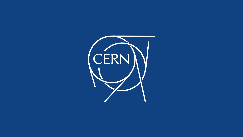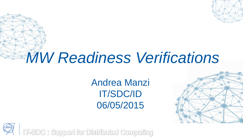

# *MW Readiness Verifications*

Andrea Manzi IT/SDC/ID 06/05/2015





**IT-SDC : Support for Distributed Computing**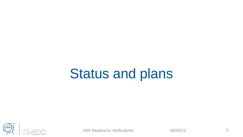# Status and plans



MW Readiness Verifications 06/05/15 3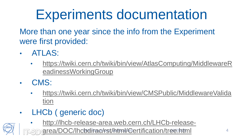# Experiments documentation

More than one year since the info from the Experiment were first provided:

- ATLAS:
	- [https://twiki.cern.ch/twiki/bin/view/AtlasComputing/MiddlewareR](https://twiki.cern.ch/twiki/bin/view/AtlasComputing/MiddlewareReadinessWorkingGroup) eadinessWorkingGroup
- CMS:

CÈRN

- [https://twiki.cern.ch/twiki/bin/view/CMSPublic/MiddlewareValida](https://twiki.cern.ch/twiki/bin/view/CMSPublic/MiddlewareValidation) tion
- LHCb ( generic doc)
	- http://lhcb-release-area.web.cern.ch/LHCb-release-

[area/DOC/lhcbdirac/rst/html/Certification/tree.html](http://lhcb-release-area.web.cern.ch/LHCb-release-area/DOC/lhcbdirac/rst/html/Certification/tree.html) 4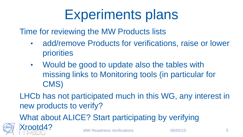# Experiments plans

Time for reviewing the MW Products lists

- add/remove Products for verifications, raise or lower priorities
- Would be good to update also the tables with missing links to Monitoring tools (in particular for CMS)

LHCb has not participated much in this WG, any interest in new products to verify?

What about ALICE? Start participating by verifying

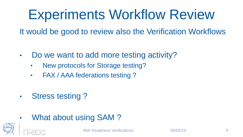# Experiments Workflow Review

It would be good to review also the Verification Workflows

- Do we want to add more testing activity?
	- New protocols for Storage testing?
	- FAX / AAA federations testing ?
- Stress testing ?
- What about using SAM ?

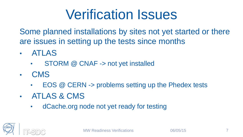#### Verification Issues

Some planned installations by sites not yet started or there are issues in setting up the tests since months

- ATLAS
	- STORM @ CNAF -> not yet installed
- CMS
	- EOS @ CERN -> problems setting up the Phedex tests
- ATLAS & CMS
	- dCache.org node not yet ready for testing

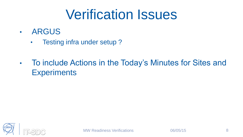#### Verification Issues

- ARGUS
	- Testing infra under setup ?
- To include Actions in the Today's Minutes for Sites and **Experiments**

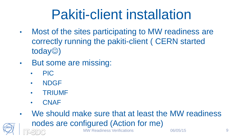### Pakiti-client installation

- Most of the sites participating to MW readiness are correctly running the pakiti-client ( CERN started  $today$ )
- But some are missing:
	- PIC
	- NDGF
	- TRIUMF
	- CNAF
- MW Readiness Verifications  $06/05/15$  9 • We should make sure that at least the MW readiness nodes are configured (Action for me)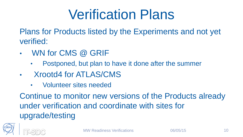#### Verification Plans

Plans for Products listed by the Experiments and not yet verified:

- WN for CMS @ GRIF
	- Postponed, but plan to have it done after the summer
- Xrootd4 for ATLAS/CMS
	- Volunteer sites needed

Continue to monitor new versions of the Products already under verification and coordinate with sites for upgrade/testing

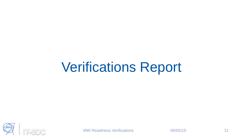# Verifications Report



MW Readiness Verifications 06/05/15 11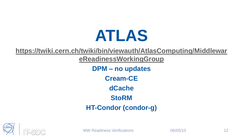# **ATLAS**

**[https://twiki.cern.ch/twiki/bin/viewauth/AtlasComputing/Middlewar](https://twiki.cern.ch/twiki/bin/viewauth/AtlasComputing/MiddlewareReadinessWorkingGroup)**

**eReadinessWorkingGroup**

**DPM – no updates Cream-CE dCache StoRM HT-Condor (condor-g)**

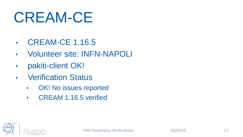# CREAM-CE

- CREAM-CE 1.16.5
- Volunteer site: INFN-NAPOLI
- pakiti-client OK!
- Verification Status
	- OK! No issues reported
	- CREAM 1.16.5 verified

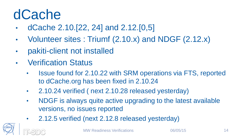#### dCache

- dCache 2.10.[22, 24] and 2.12.[0,5]
- Volunteer sites : Triumf (2.10.x) and NDGF (2.12.x)
- pakiti-client not installed
- **Verification Status** 
	- Issue found for 2.10.22 with SRM operations via FTS, reported to dCache.org has been fixed in 2.10.24
	- 2.10.24 verified ( next 2.10.28 released yesterday)
	- NDGF is always quite active upgrading to the latest available versions, no issues reported
	- 2.12.5 verified (next 2.12.8 released yesterday)

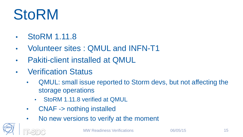# **StoRM**

- StoRM 1.11.8
- Volunteer sites : QMUL and INFN-T1
- Pakiti-client installed at QMUL
- Verification Status
	- QMUL: small issue reported to Storm devs, but not affecting the storage operations
		- StoRM 1.11.8 verified at QMUL
	- CNAF -> nothing installed
	- No new versions to verify at the moment

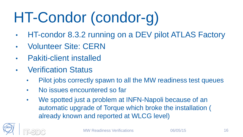# HT-Condor (condor-g)

- HT-condor 8.3.2 running on a DEV pilot ATLAS Factory
- Volunteer Site: CERN
- Pakiti-client installed
- Verification Status
	- Pilot jobs correctly spawn to all the MW readiness test queues
	- No issues encountered so far
	- We spotted just a problem at INFN-Napoli because of an automatic upgrade of Torque which broke the installation ( already known and reported at WLCG level)

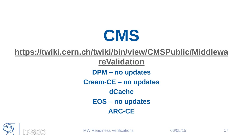

**[https://twiki.cern.ch/twiki/bin/view/CMSPublic/Middlewa](https://twiki.cern.ch/twiki/bin/view/CMSPublic/MiddlewareValidation) reValidation DPM – no updates Cream-CE – no updates dCache EOS – no updates ARC-CE**

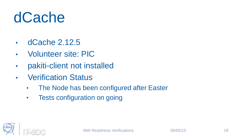# dCache

- dCache 2.12.5
- Volunteer site: PIC
- pakiti-client not installed
- Verification Status
	- The Node has been configured after Easter
	- Tests configuration on going

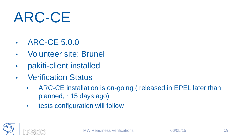# ARC-CE

- ARC-CE 5.0.0
- Volunteer site: Brunel
- pakiti-client installed
- **Verification Status** 
	- ARC-CE installation is on-going ( released in EPEL later than planned, ~15 days ago)
	- tests configuration will follow